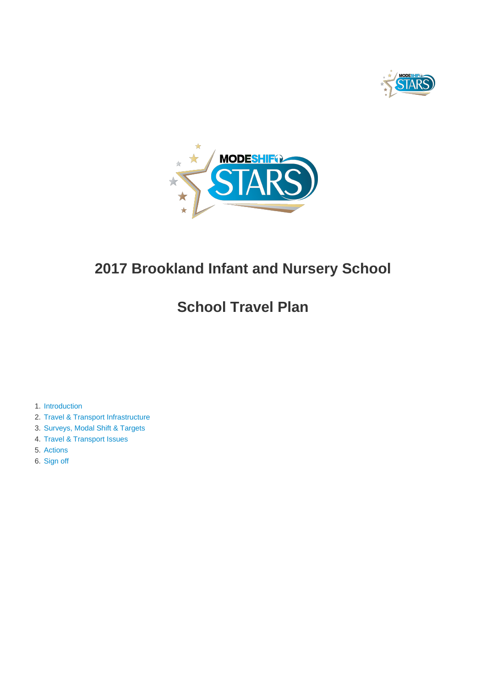



# **2017 Brookland Infant and Nursery School**

# **School Travel Plan**

- 1. [Introduction](#page-1-0)
- 2. [Travel & Transport Infrastructure](#page-4-0)
- 3. [Surveys, Modal Shift & Targets](#page-7-0)
- 4. [Travel & Transport Issues](#page-12-0)
- 5. [Actions](#page-13-0)
- 6. [Sign off](#page-20-0)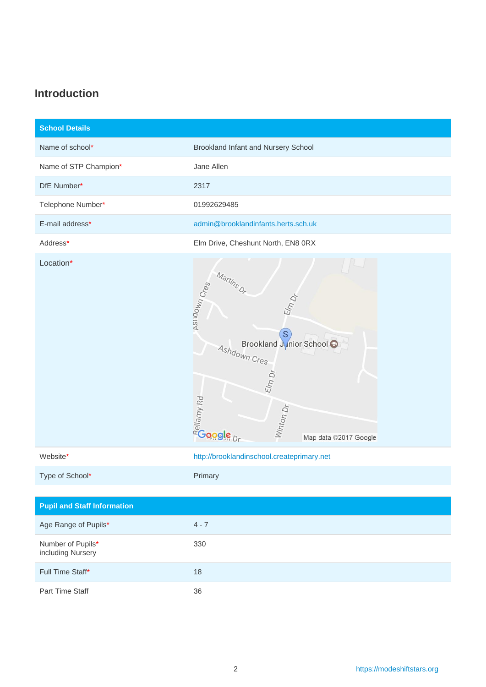### <span id="page-1-0"></span>**Introduction**

| <b>School Details</b>                  |                                                                                                                                                                                       |
|----------------------------------------|---------------------------------------------------------------------------------------------------------------------------------------------------------------------------------------|
| Name of school*                        | Brookland Infant and Nursery School                                                                                                                                                   |
| Name of STP Champion*                  | Jane Allen                                                                                                                                                                            |
| DfE Number*                            | 2317                                                                                                                                                                                  |
| Telephone Number*                      | 01992629485                                                                                                                                                                           |
| E-mail address*                        | admin@brooklandinfants.herts.sch.uk                                                                                                                                                   |
| Address*                               | Elm Drive, Cheshunt North, EN8 0RX                                                                                                                                                    |
| Location*                              | Martins Or<br><b>ASIIDOWN Cress</b><br>Elm Dr<br>S<br>Brookland Junior School<br>Ashdown Cres<br>E l m D r<br><b>Address</b><br>Address Present<br>Winton Dr<br>Map data ©2017 Google |
| Website*                               | http://brooklandinschool.createprimary.net                                                                                                                                            |
| Type of School*                        | Primary                                                                                                                                                                               |
|                                        |                                                                                                                                                                                       |
| <b>Pupil and Staff Information</b>     |                                                                                                                                                                                       |
| Age Range of Pupils*                   | $4 - 7$                                                                                                                                                                               |
| Number of Pupils*<br>including Nursery | 330                                                                                                                                                                                   |
| Full Time Staff*                       | $18$                                                                                                                                                                                  |

Part Time Staff 36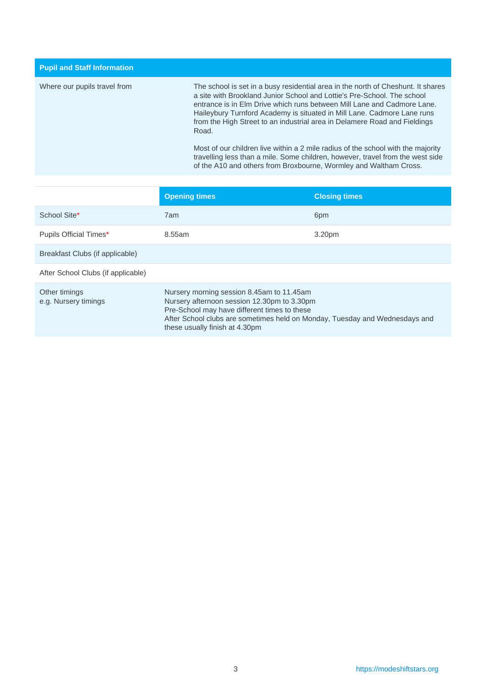**Pupil and Staff Information** Where our pupils travel from The school is set in a busy residential area in the north of Cheshunt. It shares a site with Brookland Junior School and Lottie's Pre-School. The school entrance is in Elm Drive which runs between Mill Lane and Cadmore Lane. Haileybury Turnford Academy is situated in Mill Lane. Cadmore Lane runs from the High Street to an industrial area in Delamere Road and Fieldings Road. Most of our children live within a 2 mile radius of the school with the majority travelling less than a mile. Some children, however, travel from the west side of the A10 and others from Broxbourne, Wormley and Waltham Cross.

|                                       | <b>Opening times</b>                                                                                                                                                                                                                                      | <b>Closing times</b> |
|---------------------------------------|-----------------------------------------------------------------------------------------------------------------------------------------------------------------------------------------------------------------------------------------------------------|----------------------|
| School Site*                          | 7am                                                                                                                                                                                                                                                       | 6pm                  |
| Pupils Official Times*                | 8.55am                                                                                                                                                                                                                                                    | 3.20pm               |
| Breakfast Clubs (if applicable)       |                                                                                                                                                                                                                                                           |                      |
| After School Clubs (if applicable)    |                                                                                                                                                                                                                                                           |                      |
| Other timings<br>e.g. Nursery timings | Nursery morning session 8.45am to 11.45am<br>Nursery afternoon session 12.30pm to 3.30pm<br>Pre-School may have different times to these<br>After School clubs are sometimes held on Monday, Tuesday and Wednesdays and<br>these usually finish at 4.30pm |                      |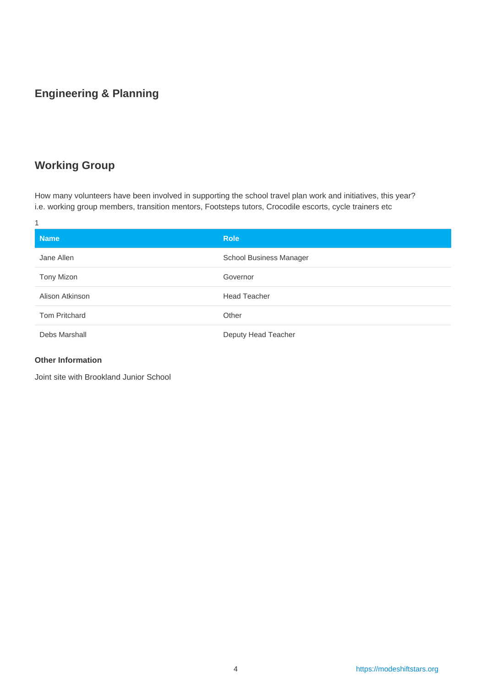### **Engineering & Planning**

### **Working Group**

How many volunteers have been involved in supporting the school travel plan work and initiatives, this year? i.e. working group members, transition mentors, Footsteps tutors, Crocodile escorts, cycle trainers etc

| 1                    |                         |
|----------------------|-------------------------|
| <b>Name</b>          | <b>Role</b>             |
| Jane Allen           | School Business Manager |
| Tony Mizon           | Governor                |
| Alison Atkinson      | <b>Head Teacher</b>     |
| <b>Tom Pritchard</b> | Other                   |
| Debs Marshall        | Deputy Head Teacher     |

#### **Other Information**

Joint site with Brookland Junior School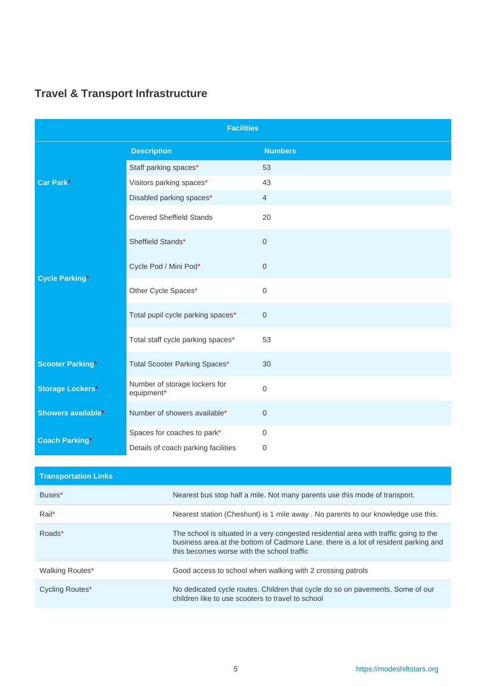| <b>Facilities</b>       |                                             |                  |  |  |  |  |
|-------------------------|---------------------------------------------|------------------|--|--|--|--|
|                         | <b>Description</b>                          | <b>Numbers</b>   |  |  |  |  |
|                         | Staff parking spaces*                       | 53               |  |  |  |  |
| Car Park*               | Visitors parking spaces*                    | 43               |  |  |  |  |
|                         | Disabled parking spaces*                    | $\overline{4}$   |  |  |  |  |
|                         | <b>Covered Sheffield Stands</b>             | 20               |  |  |  |  |
|                         | Sheffield Stands*                           | $\overline{0}$   |  |  |  |  |
| <b>Cycle Parking*</b>   | Cycle Pod / Mini Pod*                       | $\boldsymbol{0}$ |  |  |  |  |
|                         | Other Cycle Spaces*                         | $\mathbf 0$      |  |  |  |  |
|                         | Total pupil cycle parking spaces*           | $\mathbf 0$      |  |  |  |  |
|                         | Total staff cycle parking spaces*           | 53               |  |  |  |  |
| <b>Scooter Parking*</b> | Total Scooter Parking Spaces*               | 30               |  |  |  |  |
| <b>Storage Lockers*</b> | Number of storage lockers for<br>equipment* | 0                |  |  |  |  |
| Showers available*      | Number of showers available*                | $\boldsymbol{0}$ |  |  |  |  |
| <b>Coach Parking*</b>   | Spaces for coaches to park*                 | $\mathbf 0$      |  |  |  |  |
|                         | Details of coach parking facilities         | 0                |  |  |  |  |

## <span id="page-4-0"></span>**Travel & Transport Infrastructure**

| <b>Transportation Links</b> |                                                                                                                                                                                                                            |
|-----------------------------|----------------------------------------------------------------------------------------------------------------------------------------------------------------------------------------------------------------------------|
| Buses*                      | Nearest bus stop half a mile. Not many parents use this mode of transport.                                                                                                                                                 |
| Rail*                       | Nearest station (Cheshunt) is 1 mile away . No parents to our knowledge use this.                                                                                                                                          |
| Roads*                      | The school is situated in a very congested residential area with traffic going to the<br>business area at the bottom of Cadmore Lane. there is a lot of resident parking and<br>this becomes worse with the school traffic |
| Walking Routes*             | Good access to school when walking with 2 crossing patrols                                                                                                                                                                 |
| Cycling Routes*             | No dedicated cycle routes. Children that cycle do so on pavements. Some of our<br>children like to use scooters to travel to school                                                                                        |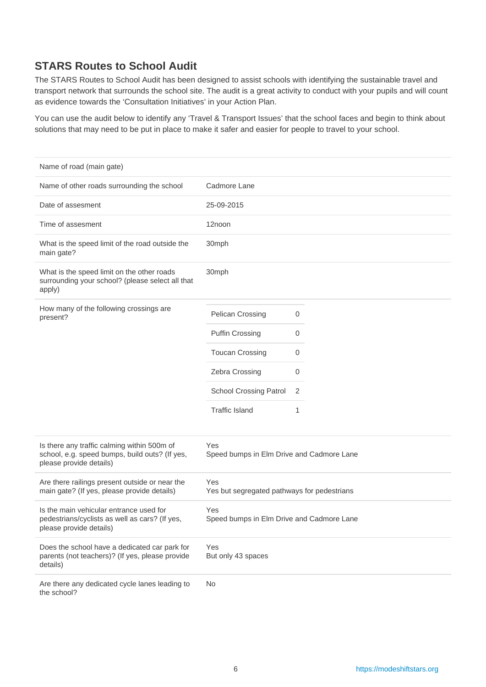### **STARS Routes to School Audit**

The STARS Routes to School Audit has been designed to assist schools with identifying the sustainable travel and transport network that surrounds the school site. The audit is a great activity to conduct with your pupils and will count as evidence towards the 'Consultation Initiatives' in your Action Plan.

You can use the audit below to identify any 'Travel & Transport Issues' that the school faces and begin to think about solutions that may need to be put in place to make it safer and easier for people to travel to your school.

| Name of road (main gate)                                                                                                 |                                                    |
|--------------------------------------------------------------------------------------------------------------------------|----------------------------------------------------|
| Name of other roads surrounding the school                                                                               | Cadmore Lane                                       |
| Date of assesment                                                                                                        | 25-09-2015                                         |
| Time of assesment                                                                                                        | 12noon                                             |
| What is the speed limit of the road outside the<br>main gate?                                                            | 30mph                                              |
| What is the speed limit on the other roads<br>surrounding your school? (please select all that<br>apply)                 | 30mph                                              |
| How many of the following crossings are<br>present?                                                                      | Pelican Crossing<br>0                              |
|                                                                                                                          | <b>Puffin Crossing</b><br>0                        |
|                                                                                                                          | <b>Toucan Crossing</b><br>0                        |
|                                                                                                                          | Zebra Crossing<br>0                                |
|                                                                                                                          | <b>School Crossing Patrol</b><br>2                 |
|                                                                                                                          | <b>Traffic Island</b><br>1                         |
| Is there any traffic calming within 500m of<br>school, e.g. speed bumps, build outs? (If yes,<br>please provide details) | Yes<br>Speed bumps in Elm Drive and Cadmore Lane   |
| Are there railings present outside or near the<br>main gate? (If yes, please provide details)                            | Yes<br>Yes but segregated pathways for pedestrians |
| Is the main vehicular entrance used for<br>pedestrians/cyclists as well as cars? (If yes,<br>please provide details)     | Yes<br>Speed bumps in Elm Drive and Cadmore Lane   |
| Does the school have a dedicated car park for<br>parents (not teachers)? (If yes, please provide<br>details)             | Yes<br>But only 43 spaces                          |
| Are there any dedicated cycle lanes leading to<br>the school?                                                            | <b>No</b>                                          |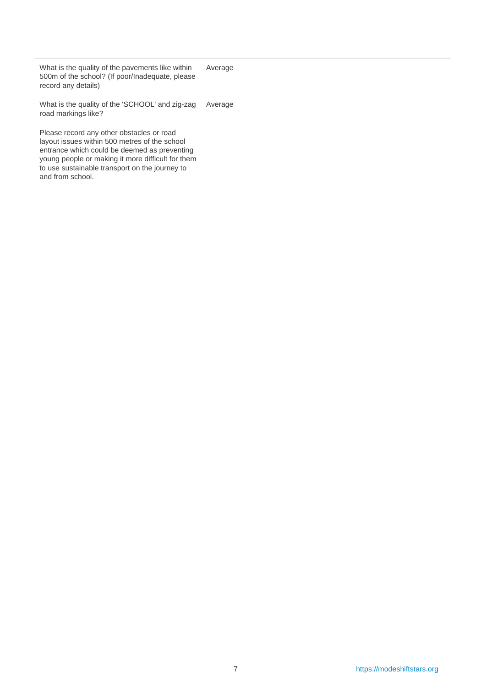| What is the quality of the pavements like within<br>500m of the school? (If poor/Inadequate, please<br>record any details)                                                                                                                        | Average |
|---------------------------------------------------------------------------------------------------------------------------------------------------------------------------------------------------------------------------------------------------|---------|
| What is the quality of the 'SCHOOL' and zig-zag<br>road markings like?                                                                                                                                                                            | Average |
| Please record any other obstacles or road<br>layout issues within 500 metres of the school<br>entrance which could be deemed as preventing<br>young people or making it more difficult for them<br>to use sustainable transport on the journey to |         |

and from school.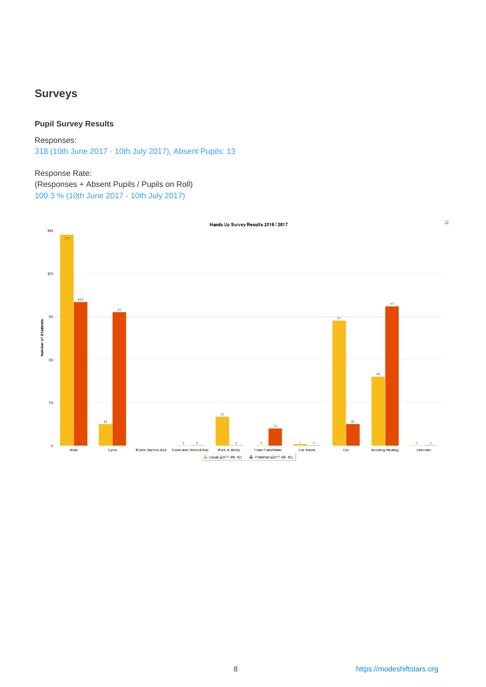### <span id="page-7-0"></span>**Surveys**

#### **Pupil Survey Results**

Responses: 318 (10th June 2017 - 10th July 2017), Absent Pupils: 13

#### Response Rate:

(Responses + Absent Pupils / Pupils on Roll) 100.3 % (10th June 2017 - 10th July 2017)

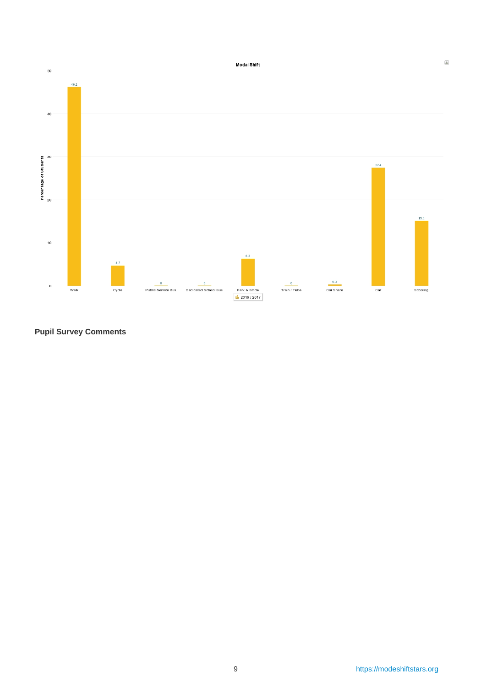

### **Pupil Survey Comments**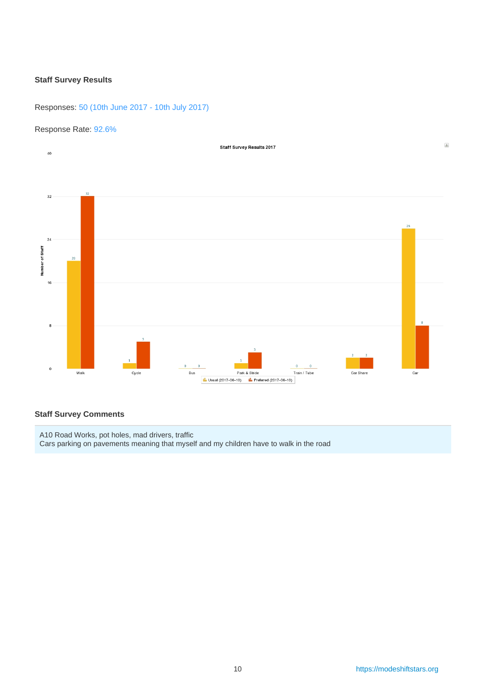#### **Staff Survey Results**

Responses: 50 (10th June 2017 - 10th July 2017)

#### Response Rate: 92.6%



#### **Staff Survey Comments**

A10 Road Works, pot holes, mad drivers, traffic Cars parking on pavements meaning that myself and my children have to walk in the road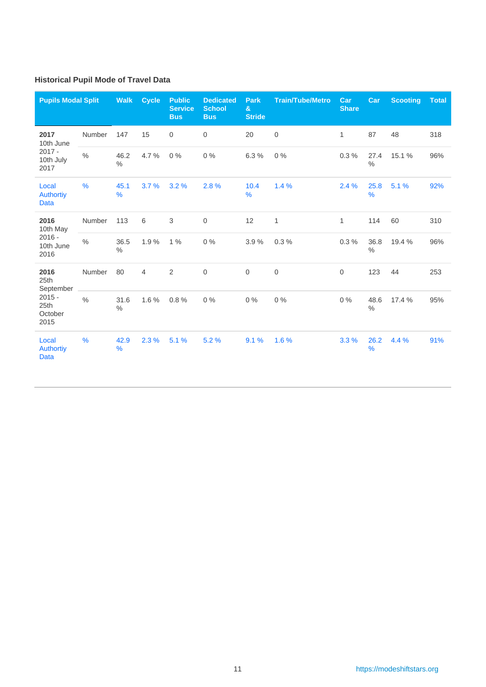### **Historical Pupil Mode of Travel Data**

| <b>Pupils Modal Split</b>                          |               | <b>Walk</b>           | <b>Cycle</b> | <b>Public</b><br><b>Service</b><br><b>Bus</b> | <b>Dedicated</b><br><b>School</b><br><b>Bus</b> | <b>Park</b><br>$\mathbf{a}$<br><b>Stride</b> | <b>Train/Tube/Metro</b> | Car<br><b>Share</b> | Car                   | <b>Scooting</b> | <b>Total</b> |
|----------------------------------------------------|---------------|-----------------------|--------------|-----------------------------------------------|-------------------------------------------------|----------------------------------------------|-------------------------|---------------------|-----------------------|-----------------|--------------|
| 2017<br>10th June<br>$2017 -$<br>10th July<br>2017 | Number        | 147                   | 15           | $\mathbf 0$                                   | $\boldsymbol{0}$                                | 20                                           | $\mathsf{O}\xspace$     | $\mathbf{1}$        | 87                    | 48              | 318          |
|                                                    | $\frac{0}{0}$ | 46.2<br>$\frac{0}{0}$ | 4.7%         | $0\%$                                         | $0\%$                                           | 6.3%                                         | 0%                      | 0.3%                | 27.4<br>$\frac{0}{0}$ | 15.1 %          | 96%          |
| Local<br><b>Authortiy</b><br><b>Data</b>           | $\frac{9}{6}$ | 45.1<br>$\frac{9}{6}$ | 3.7%         | 3.2%                                          | 2.8%                                            | 10.4<br>%                                    | 1.4%                    | 2.4%                | 25.8<br>$\frac{9}{6}$ | 5.1%            | 92%          |
| 2016<br>10th May<br>$2016 -$<br>10th June<br>2016  | Number        | 113                   | 6            | 3                                             | $\boldsymbol{0}$                                | 12                                           | $\mathbf{1}$            | $\mathbf{1}$        | 114                   | 60              | 310          |
|                                                    | $\frac{0}{0}$ | 36.5<br>$\frac{0}{0}$ | 1.9%         | $1\%$                                         | $0\%$                                           | 3.9%                                         | 0.3%                    | 0.3%                | 36.8<br>$\frac{0}{0}$ | 19.4 %          | 96%          |
| 2016<br>25th<br>September                          | Number        | 80                    | 4            | 2                                             | $\mathbf 0$                                     | $\mathbf 0$                                  | $\mathbf 0$             | $\mathbf 0$         | 123                   | 44              | 253          |
| $2015 -$<br>25th<br>October<br>2015                | $\%$          | 31.6<br>$\%$          | 1.6%         | 0.8%                                          | $0\%$                                           | 0%                                           | $0\%$                   | 0%                  | 48.6<br>$\%$          | 17.4 %          | 95%          |
| Local<br><b>Authortiy</b><br><b>Data</b>           | $\frac{9}{6}$ | 42.9<br>$\frac{9}{6}$ | 2.3%         | 5.1%                                          | 5.2%                                            | 9.1%                                         | 1.6%                    | 3.3%                | 26.2<br>$\frac{9}{6}$ | 4.4 %           | 91%          |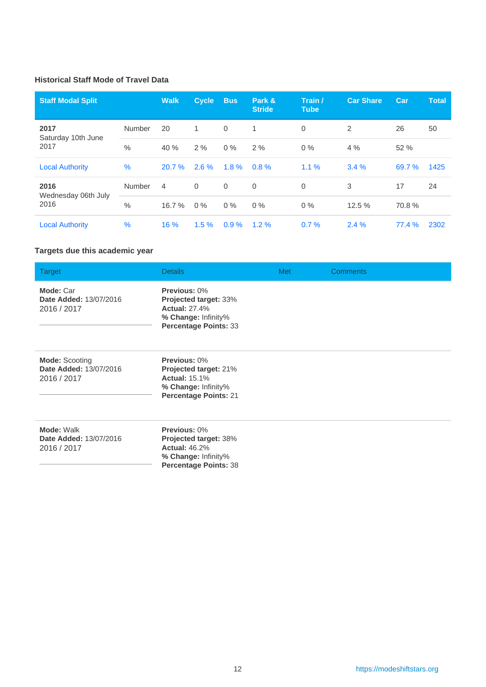### **Historical Staff Mode of Travel Data**

| <b>Staff Modal Split</b>    |               | <b>Walk</b> | <b>Cycle</b> | <b>Bus</b>  | Park &<br><b>Stride</b> | Train /<br><b>Tube</b> | <b>Car Share</b> | <b>Car</b> | <b>Total</b> |
|-----------------------------|---------------|-------------|--------------|-------------|-------------------------|------------------------|------------------|------------|--------------|
| 2017<br>Saturday 10th June  | Number        | 20          | 1            | $\mathbf 0$ | 1                       | 0                      | 2                | 26         | 50           |
| 2017                        | $\frac{0}{0}$ | 40%         | 2%           | $0\%$       | 2%                      | $0\%$                  | 4%               | 52 %       |              |
| <b>Local Authority</b>      | %             | 20.7%       | $2.6 \%$     | 1.8%        | 0.8%                    | 1.1%                   | 3.4%             | 69.7 %     | 1425         |
| 2016                        | <b>Number</b> | 4           | $\Omega$     | $\mathbf 0$ | $\mathbf 0$             | 0                      | 3                | 17         | 24           |
| Wednesday 06th July<br>2016 | $\%$          | 16.7%       | $0\%$        | $0\%$       | $0\%$                   | $0\%$                  | 12.5 %           | 70.8%      |              |
| <b>Local Authority</b>      | %             | 16%         | $1.5 \%$     | 0.9%        | $1.2 \%$                | 0.7%                   | 2.4%             | 77.4%      | 2302         |

### **Targets due this academic year**

| Target                                                         | <b>Details</b>                                                                                                              | <b>Met</b> | <b>Comments</b> |
|----------------------------------------------------------------|-----------------------------------------------------------------------------------------------------------------------------|------------|-----------------|
| Mode: Car<br>Date Added: 13/07/2016<br>2016 / 2017             | Previous: 0%<br>Projected target: 33%<br><b>Actual: 27.4%</b><br>% Change: Infinity%<br><b>Percentage Points: 33</b>        |            |                 |
| <b>Mode: Scooting</b><br>Date Added: 13/07/2016<br>2016 / 2017 | Previous: 0%<br><b>Projected target: 21%</b><br><b>Actual: 15.1%</b><br>% Change: Infinity%<br><b>Percentage Points: 21</b> |            |                 |
| Mode: Walk<br>Date Added: 13/07/2016<br>2016 / 2017            | Previous: 0%<br><b>Projected target: 38%</b><br><b>Actual: 46.2%</b><br>% Change: Infinity%<br><b>Percentage Points: 38</b> |            |                 |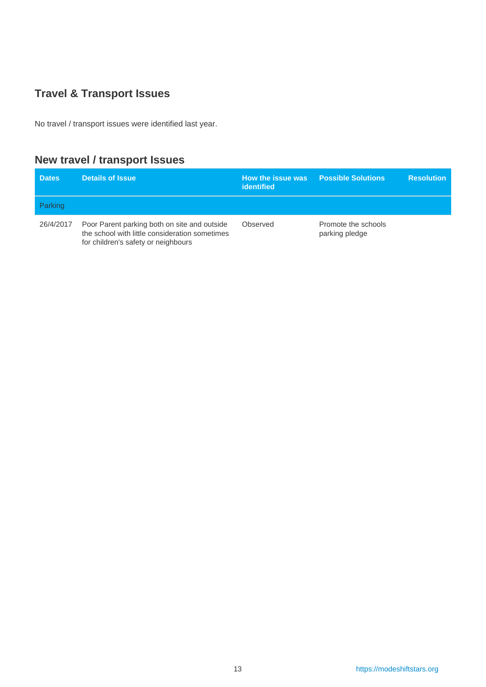## <span id="page-12-0"></span>**Travel & Transport Issues**

No travel / transport issues were identified last year.

## **New travel / transport Issues**

| <b>Dates</b>   | <b>Details of Issue</b>                                                                                                               | How the issue was<br>identified | <b>Possible Solutions</b>             | <b>Resolution</b> |
|----------------|---------------------------------------------------------------------------------------------------------------------------------------|---------------------------------|---------------------------------------|-------------------|
| <b>Parking</b> |                                                                                                                                       |                                 |                                       |                   |
| 26/4/2017      | Poor Parent parking both on site and outside<br>the school with little consideration sometimes<br>for children's safety or neighbours | Observed                        | Promote the schools<br>parking pledge |                   |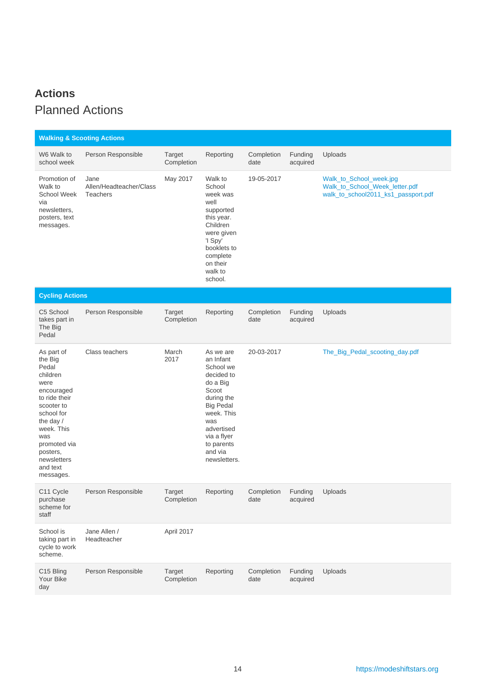## <span id="page-13-0"></span>**Actions** Planned Actions

| <b>Walking &amp; Scooting Actions</b>                                                                                                                                                                               |                                                    |                      |                                                                                                                                                                                                     |                    |                     |                                                                                                  |
|---------------------------------------------------------------------------------------------------------------------------------------------------------------------------------------------------------------------|----------------------------------------------------|----------------------|-----------------------------------------------------------------------------------------------------------------------------------------------------------------------------------------------------|--------------------|---------------------|--------------------------------------------------------------------------------------------------|
| W6 Walk to<br>school week                                                                                                                                                                                           | Person Responsible                                 | Target<br>Completion | Reporting                                                                                                                                                                                           | Completion<br>date | Funding<br>acquired | Uploads                                                                                          |
| Promotion of<br>Walk to<br><b>School Week</b><br>via<br>newsletters,<br>posters, text<br>messages.                                                                                                                  | Jane<br>Allen/Headteacher/Class<br><b>Teachers</b> | May 2017             | Walk to<br>School<br>week was<br>well<br>supported<br>this year.<br>Children<br>were given<br>'I Spy'<br>booklets to<br>complete<br>on their<br>walk to<br>school.                                  | 19-05-2017         |                     | Walk_to_School_week.jpg<br>Walk_to_School_Week_letter.pdf<br>walk_to_school2011_ks1_passport.pdf |
| <b>Cycling Actions</b>                                                                                                                                                                                              |                                                    |                      |                                                                                                                                                                                                     |                    |                     |                                                                                                  |
| C5 School<br>takes part in<br>The Big<br>Pedal                                                                                                                                                                      | Person Responsible                                 | Target<br>Completion | Reporting                                                                                                                                                                                           | Completion<br>date | Funding<br>acquired | Uploads                                                                                          |
| As part of<br>the Big<br>Pedal<br>children<br>were<br>encouraged<br>to ride their<br>scooter to<br>school for<br>the day /<br>week. This<br>was<br>promoted via<br>posters,<br>newsletters<br>and text<br>messages. | Class teachers                                     | March<br>2017        | As we are<br>an Infant<br>School we<br>decided to<br>do a Big<br>Scoot<br>during the<br><b>Big Pedal</b><br>week. This<br>was<br>advertised<br>via a flyer<br>to parents<br>and via<br>newsletters. | 20-03-2017         |                     | The_Big_Pedal_scooting_day.pdf                                                                   |
| C11 Cycle<br>purchase<br>scheme for<br>staff                                                                                                                                                                        | Person Responsible                                 | Target<br>Completion | Reporting                                                                                                                                                                                           | Completion<br>date | Funding<br>acquired | Uploads                                                                                          |
| School is<br>taking part in<br>cycle to work<br>scheme.                                                                                                                                                             | Jane Allen /<br>Headteacher                        | April 2017           |                                                                                                                                                                                                     |                    |                     |                                                                                                  |
| C15 Bling<br>Your Bike<br>day                                                                                                                                                                                       | Person Responsible                                 | Target<br>Completion | Reporting                                                                                                                                                                                           | Completion<br>date | Funding<br>acquired | Uploads                                                                                          |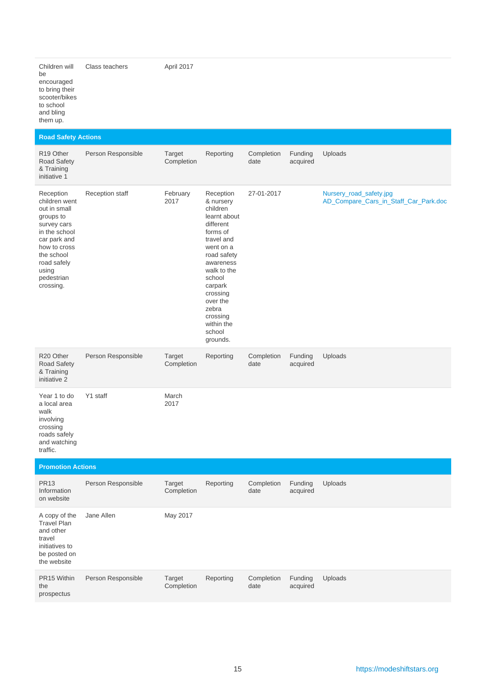Children will be encouraged to bring their scooter/bikes to school and bling them up. Class teachers April 2017

### **Road Safety Actions**

| R <sub>19</sub> Other<br>Road Safety<br>& Training<br>initiative 1                                                                                                                       | Person Responsible     | Target<br>Completion        | Reporting                                                                                                                                                                                                                                               | Completion<br>date | Funding<br>acquired | Uploads                                                          |
|------------------------------------------------------------------------------------------------------------------------------------------------------------------------------------------|------------------------|-----------------------------|---------------------------------------------------------------------------------------------------------------------------------------------------------------------------------------------------------------------------------------------------------|--------------------|---------------------|------------------------------------------------------------------|
| Reception<br>children went<br>out in small<br>groups to<br>survey cars<br>in the school<br>car park and<br>how to cross<br>the school<br>road safely<br>using<br>pedestrian<br>crossing. | <b>Reception staff</b> | February<br>2017            | Reception<br>& nursery<br>children<br>learnt about<br>different<br>forms of<br>travel and<br>went on a<br>road safety<br>awareness<br>walk to the<br>school<br>carpark<br>crossing<br>over the<br>zebra<br>crossing<br>within the<br>school<br>grounds. | 27-01-2017         |                     | Nursery_road_safety.jpg<br>AD_Compare_Cars_in_Staff_Car_Park.doc |
| R20 Other<br><b>Road Safety</b><br>& Training<br>initiative 2                                                                                                                            | Person Responsible     | Target<br>Completion        | Reporting                                                                                                                                                                                                                                               | Completion<br>date | Funding<br>acquired | Uploads                                                          |
| Year 1 to do<br>a local area<br>walk<br>involving<br>crossing<br>roads safely<br>and watching<br>traffic.                                                                                | Y1 staff               | March<br>2017               |                                                                                                                                                                                                                                                         |                    |                     |                                                                  |
| <b>Promotion Actions</b>                                                                                                                                                                 |                        |                             |                                                                                                                                                                                                                                                         |                    |                     |                                                                  |
| <b>PR13</b><br>Information<br>on website                                                                                                                                                 | Person Responsible     | <b>Target</b><br>Completion | Reporting                                                                                                                                                                                                                                               | Completion<br>date | Funding<br>acquired | Uploads                                                          |
| A copy of the<br><b>Travel Plan</b><br>and other<br>travel<br>initiatives to<br>be posted on<br>the website                                                                              | Jane Allen             | May 2017                    |                                                                                                                                                                                                                                                         |                    |                     |                                                                  |

| PR15 Within<br>the | Person Responsible | Target<br>Completion | Reporting | Completion Funding Uploads<br>date | acquired |  |
|--------------------|--------------------|----------------------|-----------|------------------------------------|----------|--|
| prospectus         |                    |                      |           |                                    |          |  |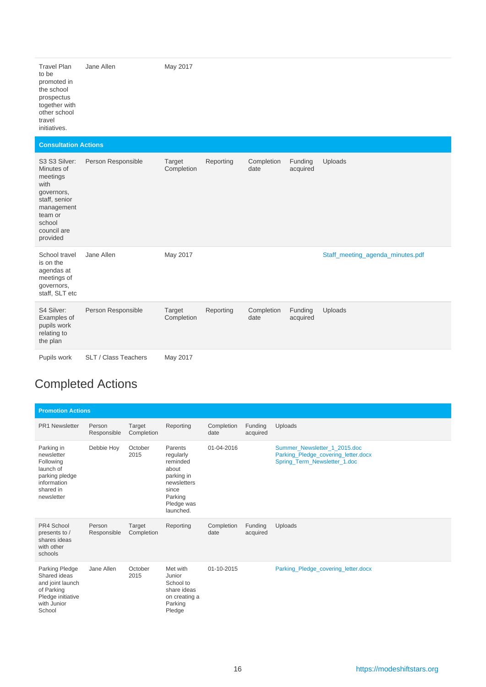| <b>Travel Plan</b><br>to be<br>promoted in<br>the school<br>prospectus<br>together with<br>other school<br>travel<br>initiatives. | Jane Allen | May 2017 |
|-----------------------------------------------------------------------------------------------------------------------------------|------------|----------|
|                                                                                                                                   |            |          |

#### **Consultation Actions**

| S3 S3 Silver:<br>Minutes of<br>meetings<br>with<br>governors,<br>staff, senior<br>management<br>team or<br>school<br>council are<br>provided | Person Responsible   | Target<br>Completion | Reporting | Completion<br>date | Funding<br>acquired | Uploads                          |
|----------------------------------------------------------------------------------------------------------------------------------------------|----------------------|----------------------|-----------|--------------------|---------------------|----------------------------------|
| School travel<br>is on the<br>agendas at<br>meetings of<br>governors,<br>staff, SLT etc                                                      | Jane Allen           | May 2017             |           |                    |                     | Staff_meeting_agenda_minutes.pdf |
| S4 Silver:<br>Examples of<br>pupils work<br>relating to<br>the plan                                                                          | Person Responsible   | Target<br>Completion | Reporting | Completion<br>date | Funding<br>acquired | Uploads                          |
| Pupils work                                                                                                                                  | SLT / Class Teachers | May 2017             |           |                    |                     |                                  |

# Completed Actions

| <b>Promotion Actions</b>                                                                                       |                       |                      |                                                                                                                       |                    |                     |                                                                                                     |  |  |
|----------------------------------------------------------------------------------------------------------------|-----------------------|----------------------|-----------------------------------------------------------------------------------------------------------------------|--------------------|---------------------|-----------------------------------------------------------------------------------------------------|--|--|
| <b>PR1 Newsletter</b>                                                                                          | Person<br>Responsible | Target<br>Completion | Reporting                                                                                                             | Completion<br>date | Funding<br>acquired | Uploads                                                                                             |  |  |
| Parking in<br>newsletter<br>Following<br>launch of<br>parking pledge<br>information<br>shared in<br>newsletter | Debbie Hoy            | October<br>2015      | Parents<br>regularly<br>reminded<br>about<br>parking in<br>newsletters<br>since<br>Parking<br>Pledge was<br>launched. | 01-04-2016         |                     | Summer_Newsletter_1_2015.doc<br>Parking_Pledge_covering_letter.docx<br>Spring_Term_Newsletter_1.doc |  |  |
| PR4 School<br>presents to /<br>shares ideas<br>with other<br>schools                                           | Person<br>Responsible | Target<br>Completion | Reporting                                                                                                             | Completion<br>date | Funding<br>acquired | Uploads                                                                                             |  |  |
| Parking Pledge<br>Shared ideas<br>and joint launch<br>of Parking<br>Pledge initiative<br>with Junior<br>School | Jane Allen            | October<br>2015      | Met with<br>Junior<br>School to<br>share ideas<br>on creating a<br>Parking<br>Pledge                                  | 01-10-2015         |                     | Parking_Pledge_covering_letter.docx                                                                 |  |  |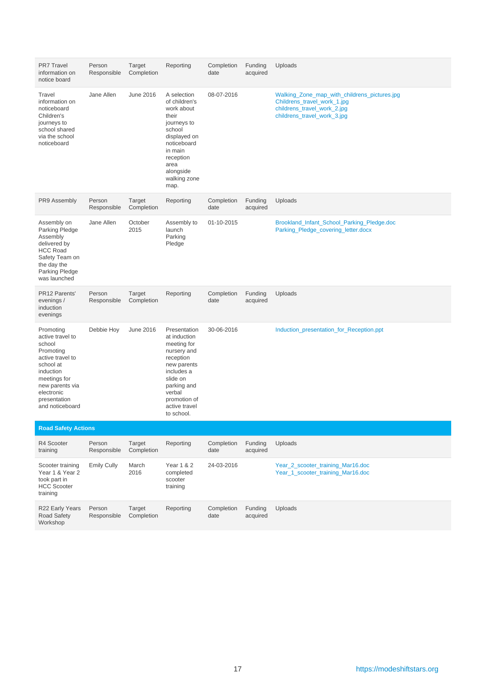| <b>PR7 Travel</b><br>information on<br>notice board                                                                                                                                    | Person<br>Responsible | Target<br>Completion | Reporting                                                                                                                                                                                | Completion<br>date | Funding<br>acquired | Uploads                                                                                                                                   |
|----------------------------------------------------------------------------------------------------------------------------------------------------------------------------------------|-----------------------|----------------------|------------------------------------------------------------------------------------------------------------------------------------------------------------------------------------------|--------------------|---------------------|-------------------------------------------------------------------------------------------------------------------------------------------|
| Travel<br>information on<br>noticeboard<br>Children's<br>journeys to<br>school shared<br>via the school<br>noticeboard                                                                 | Jane Allen            | June 2016            | A selection<br>of children's<br>work about<br>their<br>journeys to<br>school<br>displayed on<br>noticeboard<br>in main<br>reception<br>area<br>alongside<br>walking zone<br>map.         | 08-07-2016         |                     | Walking_Zone_map_with_childrens_pictures.jpg<br>Childrens_travel_work_1.jpg<br>childrens_travel_work_2.jpg<br>childrens_travel_work_3.jpg |
| PR9 Assembly                                                                                                                                                                           | Person<br>Responsible | Target<br>Completion | Reporting                                                                                                                                                                                | Completion<br>date | Funding<br>acquired | Uploads                                                                                                                                   |
| Assembly on<br>Parking Pledge<br>Assembly<br>delivered by<br><b>HCC Road</b><br>Safety Team on<br>the day the<br>Parking Pledge<br>was launched                                        | Jane Allen            | October<br>2015      | Assembly to<br>launch<br>Parking<br>Pledge                                                                                                                                               | 01-10-2015         |                     | Brookland_Infant_School_Parking_Pledge.doc<br>Parking_Pledge_covering_letter.docx                                                         |
| PR12 Parents'<br>evenings /<br>induction<br>evenings                                                                                                                                   | Person<br>Responsible | Target<br>Completion | Reporting                                                                                                                                                                                | Completion<br>date | Funding<br>acquired | Uploads                                                                                                                                   |
| Promoting<br>active travel to<br>school<br>Promoting<br>active travel to<br>school at<br>induction<br>meetings for<br>new parents via<br>electronic<br>presentation<br>and noticeboard | Debbie Hoy            | <b>June 2016</b>     | Presentation<br>at induction<br>meeting for<br>nursery and<br>reception<br>new parents<br>includes a<br>slide on<br>parking and<br>verbal<br>promotion of<br>active travel<br>to school. | 30-06-2016         |                     | Induction_presentation_for_Reception.ppt                                                                                                  |
| <b>Road Safety Actions</b>                                                                                                                                                             |                       |                      |                                                                                                                                                                                          |                    |                     |                                                                                                                                           |
| R4 Scooter<br>training                                                                                                                                                                 | Person<br>Responsible | Target<br>Completion | Reporting                                                                                                                                                                                | Completion<br>date | Funding<br>acquired | Uploads                                                                                                                                   |
| Scooter training<br>Year 1 & Year 2<br>took part in<br><b>HCC Scooter</b><br>training                                                                                                  | <b>Emily Cully</b>    | March<br>2016        | Year 1 & 2<br>completed<br>scooter<br>training                                                                                                                                           | 24-03-2016         |                     | Year 2 scooter training Mar16.doc<br>Year_1_scooter_training_Mar16.doc                                                                    |
| R22 Early Years<br>Road Safety<br>Workshop                                                                                                                                             | Person<br>Responsible | Target<br>Completion | Reporting                                                                                                                                                                                | Completion<br>date | Funding<br>acquired | Uploads                                                                                                                                   |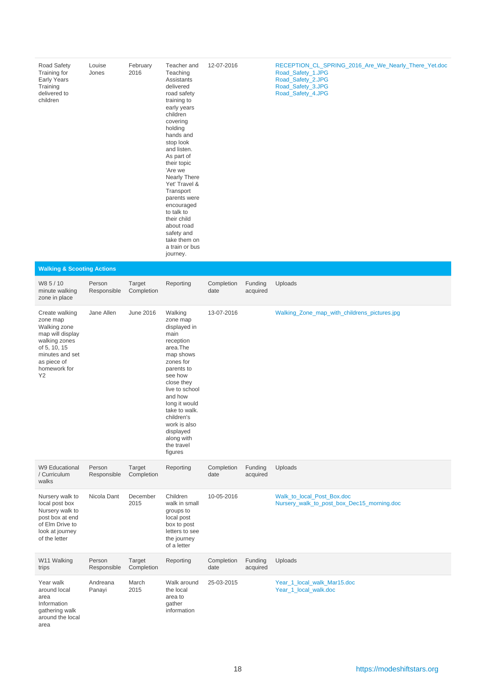| Road Safety<br>Training for<br>Early Years<br>Training<br>delivered to<br>children                                                                      | Louise<br>Jones       | February<br>2016     | Teacher and<br>Teaching<br>Assistants<br>delivered<br>road safety<br>training to<br>early years<br>children<br>covering<br>holding<br>hands and<br>stop look<br>and listen.<br>As part of<br>their topic<br>'Are we<br>Nearly There<br>Yet' Travel &<br>Transport<br>parents were<br>encouraged<br>to talk to<br>their child<br>about road<br>safety and<br>take them on<br>a train or bus<br>journey. | 12-07-2016         |                     | RECEPTION_CL_SPRING_2016_Are_We_Nearly_There_Yet.doc<br>Road_Safety_1.JPG<br>Road_Safety_2.JPG<br>Road_Safety_3.JPG<br>Road_Safety_4.JPG |
|---------------------------------------------------------------------------------------------------------------------------------------------------------|-----------------------|----------------------|--------------------------------------------------------------------------------------------------------------------------------------------------------------------------------------------------------------------------------------------------------------------------------------------------------------------------------------------------------------------------------------------------------|--------------------|---------------------|------------------------------------------------------------------------------------------------------------------------------------------|
| <b>Walking &amp; Scooting Actions</b>                                                                                                                   |                       |                      |                                                                                                                                                                                                                                                                                                                                                                                                        |                    |                     |                                                                                                                                          |
| W8 5 / 10<br>minute walking<br>zone in place                                                                                                            | Person<br>Responsible | Target<br>Completion | Reporting                                                                                                                                                                                                                                                                                                                                                                                              | Completion<br>date | Funding<br>acquired | Uploads                                                                                                                                  |
| Create walking<br>zone map<br>Walking zone<br>map will display<br>walking zones<br>of 5, 10, 15<br>minutes and set<br>as piece of<br>homework for<br>Y2 | Jane Allen            | June 2016            | Walking<br>zone map<br>displayed in<br>main<br>reception<br>area.The<br>map shows<br>zones for<br>parents to<br>see how<br>close they<br>live to school<br>and how<br>long it would<br>take to walk.<br>children's<br>work is also<br>displayed<br>along with<br>the travel<br>figures                                                                                                                 | 13-07-2016         |                     | Walking_Zone_map_with_childrens_pictures.jpg                                                                                             |
| W9 Educational<br>/ Curriculum<br>walks                                                                                                                 | Person<br>Responsible | Target<br>Completion | Reporting                                                                                                                                                                                                                                                                                                                                                                                              | Completion<br>date | Funding<br>acquired | Uploads                                                                                                                                  |
| Nursery walk to<br>local post box<br>Nursery walk to<br>post box at end<br>of Elm Drive to<br>look at journey<br>of the letter                          | Nicola Dant           | December<br>2015     | Children<br>walk in small<br>groups to<br>local post<br>box to post<br>letters to see<br>the journey<br>of a letter                                                                                                                                                                                                                                                                                    | 10-05-2016         |                     | Walk_to_local_Post_Box.doc<br>Nursery_walk_to_post_box_Dec15_morning.doc                                                                 |
| W11 Walking<br>trips                                                                                                                                    | Person<br>Responsible | Target<br>Completion | Reporting                                                                                                                                                                                                                                                                                                                                                                                              | Completion<br>date | Funding<br>acquired | Uploads                                                                                                                                  |
| Year walk<br>around local<br>area<br>Information<br>gathering walk<br>around the local<br>area                                                          | Andreana<br>Panayi    | March<br>2015        | Walk around<br>the local<br>area to<br>gather<br>information                                                                                                                                                                                                                                                                                                                                           | 25-03-2015         |                     | Year_1_local_walk_Mar15.doc<br>Year_1_local_walk.doc                                                                                     |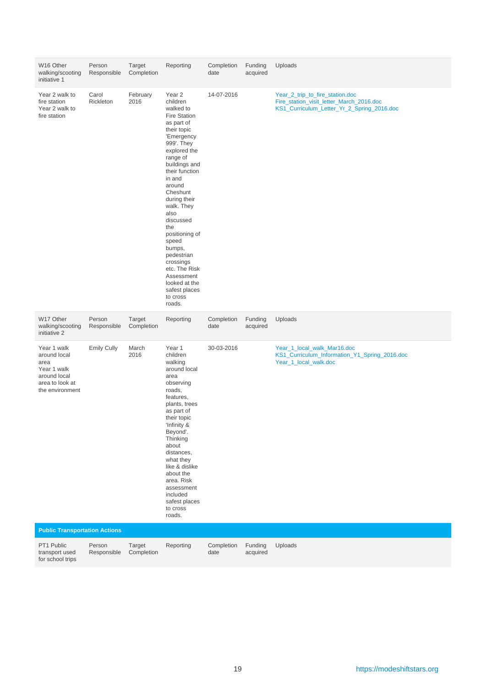| W16 Other<br>walking/scooting<br>initiative 1                                                            | Person<br>Responsible | Target<br>Completion | Reporting                                                                                                                                                                                                                                                                                                                                                                                                                                  | Completion<br>date | Funding<br>acquired | Uploads                                                                                                                   |
|----------------------------------------------------------------------------------------------------------|-----------------------|----------------------|--------------------------------------------------------------------------------------------------------------------------------------------------------------------------------------------------------------------------------------------------------------------------------------------------------------------------------------------------------------------------------------------------------------------------------------------|--------------------|---------------------|---------------------------------------------------------------------------------------------------------------------------|
| Year 2 walk to<br>fire station<br>Year 2 walk to<br>fire station                                         | Carol<br>Rickleton    | February<br>2016     | Year <sub>2</sub><br>children<br>walked to<br><b>Fire Station</b><br>as part of<br>their topic<br>'Emergency<br>999'. They<br>explored the<br>range of<br>buildings and<br>their function<br>in and<br>around<br>Cheshunt<br>during their<br>walk. They<br>also<br>discussed<br>the<br>positioning of<br>speed<br>bumps,<br>pedestrian<br>crossings<br>etc. The Risk<br>Assessment<br>looked at the<br>safest places<br>to cross<br>roads. | 14-07-2016         |                     | Year_2_trip_to_fire_station.doc<br>Fire_station_visit_letter_March_2016.doc<br>KS1_Curriculum_Letter_Yr_2_Spring_2016.doc |
| W17 Other<br>walking/scooting<br>initiative 2                                                            | Person<br>Responsible | Target<br>Completion | Reporting                                                                                                                                                                                                                                                                                                                                                                                                                                  | Completion<br>date | Funding<br>acquired | Uploads                                                                                                                   |
| Year 1 walk<br>around local<br>area<br>Year 1 walk<br>around local<br>area to look at<br>the environment | <b>Emily Cully</b>    | March<br>2016        | Year 1<br>children<br>walking<br>around local<br>area                                                                                                                                                                                                                                                                                                                                                                                      | 30-03-2016         |                     | Year_1_local_walk_Mar16.doc<br>KS1_Curriculum_Information_Y1_Spring_2016.doc<br>Year_1_local_walk.doc                     |
|                                                                                                          |                       |                      | observing<br>roads,<br>features,<br>plants, trees<br>as part of<br>their topic<br>'Infinity &<br>Beyond'.<br>Thinking<br>about<br>distances,<br>what they<br>like & dislike<br>about the<br>area. Risk<br>assessment<br>included<br>safest places<br>to cross<br>roads.                                                                                                                                                                    |                    |                     |                                                                                                                           |
| <b>Public Transportation Actions</b>                                                                     |                       |                      |                                                                                                                                                                                                                                                                                                                                                                                                                                            |                    |                     |                                                                                                                           |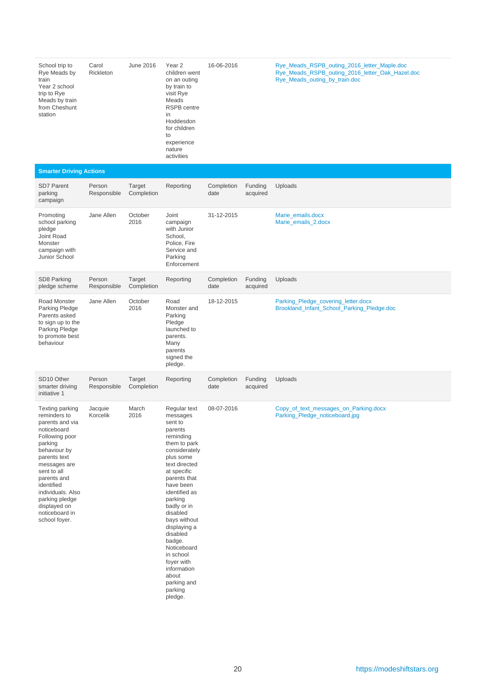| School trip to<br>Rye Meads by<br>train<br>Year 2 school<br>trip to Rye<br>Meads by train<br>from Cheshunt<br>station                                                                                                                                                                       | Carol<br>Rickleton    | June 2016            | Year <sub>2</sub><br>children went<br>on an outing<br>by train to<br>visit Rye<br>Meads<br><b>RSPB</b> centre<br>in<br>Hoddesdon<br>for children<br>to<br>experience<br>nature<br>activities                                                                                                                                                                                               | 16-06-2016         |                     | Rye_Meads_RSPB_outing_2016_letter_Maple.doc<br>Rye_Meads_RSPB_outing_2016_letter_Oak_Hazel.doc<br>Rye_Meads_outing_by_train.doc |
|---------------------------------------------------------------------------------------------------------------------------------------------------------------------------------------------------------------------------------------------------------------------------------------------|-----------------------|----------------------|--------------------------------------------------------------------------------------------------------------------------------------------------------------------------------------------------------------------------------------------------------------------------------------------------------------------------------------------------------------------------------------------|--------------------|---------------------|---------------------------------------------------------------------------------------------------------------------------------|
| <b>Smarter Driving Actions</b>                                                                                                                                                                                                                                                              |                       |                      |                                                                                                                                                                                                                                                                                                                                                                                            |                    |                     |                                                                                                                                 |
| <b>SD7 Parent</b><br>parking<br>campaign                                                                                                                                                                                                                                                    | Person<br>Responsible | Target<br>Completion | Reporting                                                                                                                                                                                                                                                                                                                                                                                  | Completion<br>date | Funding<br>acquired | Uploads                                                                                                                         |
| Promoting<br>school parking<br>pledge<br>Joint Road<br>Monster<br>campaign with<br>Junior School                                                                                                                                                                                            | Jane Allen            | October<br>2016      | Joint<br>campaign<br>with Junior<br>School,<br>Police, Fire<br>Service and<br>Parking<br>Enforcement                                                                                                                                                                                                                                                                                       | 31-12-2015         |                     | Marie_emails.docx<br>Marie_emails_2.docx                                                                                        |
| SD8 Parking<br>pledge scheme                                                                                                                                                                                                                                                                | Person<br>Responsible | Target<br>Completion | Reporting                                                                                                                                                                                                                                                                                                                                                                                  | Completion<br>date | Funding<br>acquired | Uploads                                                                                                                         |
| Road Monster<br>Parking Pledge<br>Parents asked<br>to sign up to the<br>Parking Pledge<br>to promote best<br>behaviour                                                                                                                                                                      | Jane Allen            | October<br>2016      | Road<br>Monster and<br>Parking<br>Pledge<br>launched to<br>parents.<br>Many<br>parents<br>signed the<br>pledge.                                                                                                                                                                                                                                                                            | 18-12-2015         |                     | Parking_Pledge_covering_letter.docx<br>Brookland_Infant_School_Parking_Pledge.doc                                               |
| SD <sub>10</sub> Other<br>smarter driving<br>initiative 1                                                                                                                                                                                                                                   | Person<br>Responsible | Target<br>Completion | Reporting                                                                                                                                                                                                                                                                                                                                                                                  | Completion<br>date | Funding<br>acquired | Uploads                                                                                                                         |
| <b>Texting parking</b><br>reminders to<br>parents and via<br>noticeboard<br>Following poor<br>parking<br>behaviour by<br>parents text<br>messages are<br>sent to all<br>parents and<br>identified<br>individuals. Also<br>parking pledge<br>displayed on<br>noticeboard in<br>school foyer. | Jacquie<br>Korcelik   | March<br>2016        | Regular text<br>messages<br>sent to<br>parents<br>reminding<br>them to park<br>considerately<br>plus some<br>text directed<br>at specific<br>parents that<br>have been<br>identified as<br>parking<br>badly or in<br>disabled<br>bays without<br>displaying a<br>disabled<br>badge.<br>Noticeboard<br>in school<br>foyer with<br>information<br>about<br>parking and<br>parking<br>pledge. | 08-07-2016         |                     | Copy_of_text_messages_on_Parking.docx<br>Parking_Pledge_noticeboard.jpg                                                         |